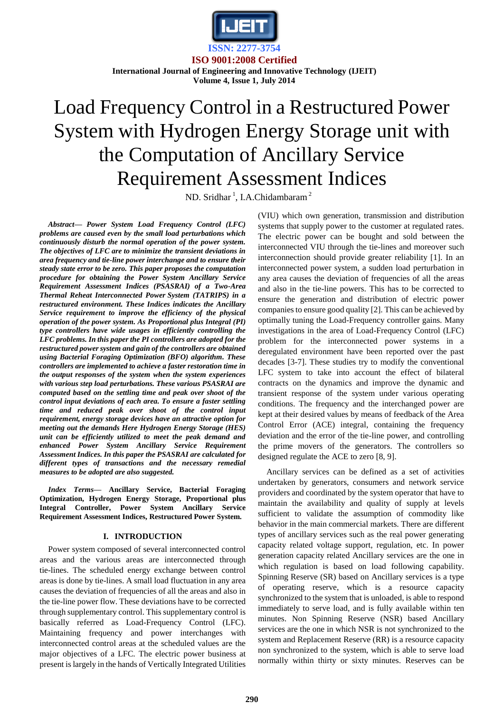

**ISO 9001:2008 Certified International Journal of Engineering and Innovative Technology (IJEIT)** 

## **Volume 4, Issue 1, July 2014**

# Load Frequency Control in a Restructured Power System with Hydrogen Energy Storage unit with the Computation of Ancillary Service Requirement Assessment Indices

ND. Sridhar<sup>1</sup>, I.A.Chidambaram<sup>2</sup>

*Abstract— Power System Load Frequency Control (LFC) problems are caused even by the small load perturbations which continuously disturb the normal operation of the power system. The objectives of LFC are to minimize the transient deviations in area frequency and tie-line power interchange and to ensure their steady state error to be zero. This paper proposes the computation procedure for obtaining the Power System Ancillary Service Requirement Assessment Indices (PSASRAI) of a Two-Area Thermal Reheat Interconnected Power System (TATRIPS) in a restructured environment. These Indices indicates the Ancillary Service requirement to improve the efficiency of the physical operation of the power system. As Proportional plus Integral (PI) type controllers have wide usages in efficiently controlling the LFC problems. In this paper the PI controllers are adopted for the restructured power system and gain of the controllers are obtained using Bacterial Foraging Optimization (BFO) algorithm. These controllers are implemented to achieve a faster restoration time in the output responses of the system when the system experiences with various step load perturbations. These various PSASRAI are computed based on the settling time and peak over shoot of the control input deviations of each area. To ensure a faster settling time and reduced peak over shoot of the control input requirement, energy storage devices have an attractive option for meeting out the demands Here Hydrogen Energy Storage (HES) unit can be efficiently utilized to meet the peak demand and enhanced Power System Ancillary Service Requirement Assessment Indices. In this paper the PSASRAI are calculated for different types of transactions and the necessary remedial measures to be adopted are also suggested.* 

*Index Terms***— Ancillary Service, Bacterial Foraging Optimization, Hydrogen Energy Storage, Proportional plus Integral Controller, Power System Ancillary Service Requirement Assessment Indices, Restructured Power System.** 

## **I. INTRODUCTION**

Power system composed of several interconnected control areas and the various areas are interconnected through tie-lines. The scheduled energy exchange between control areas is done by tie-lines. A small load fluctuation in any area causes the deviation of frequencies of all the areas and also in the tie-line power flow. These deviations have to be corrected through supplementary control. This supplementary control is basically referred as Load-Frequency Control (LFC). Maintaining frequency and power interchanges with interconnected control areas at the scheduled values are the major objectives of a LFC. The electric power business at present is largely in the hands of Vertically Integrated Utilities

(VIU) which own generation, transmission and distribution systems that supply power to the customer at regulated rates. The electric power can be bought and sold between the interconnected VIU through the tie-lines and moreover such interconnection should provide greater reliability [1]. In an interconnected power system, a sudden load perturbation in any area causes the deviation of frequencies of all the areas and also in the tie-line powers. This has to be corrected to ensure the generation and distribution of electric power companies to ensure good quality [2]. This can be achieved by optimally tuning the Load-Frequency controller gains. Many investigations in the area of Load-Frequency Control (LFC) problem for the interconnected power systems in a deregulated environment have been reported over the past decades [3-7]. These studies try to modify the conventional LFC system to take into account the effect of bilateral contracts on the dynamics and improve the dynamic and transient response of the system under various operating conditions. The frequency and the interchanged power are kept at their desired values by means of feedback of the Area Control Error (ACE) integral, containing the frequency deviation and the error of the tie-line power, and controlling the prime movers of the generators. The controllers so designed regulate the ACE to zero [8, 9].

Ancillary services can be defined as a set of activities undertaken by generators, consumers and network service providers and coordinated by the system operator that have to maintain the availability and quality of supply at levels sufficient to validate the assumption of commodity like behavior in the main commercial markets. There are different types of ancillary services such as the real power generating capacity related voltage support, regulation, etc. In power generation capacity related Ancillary services are the one in which regulation is based on load following capability. Spinning Reserve (SR) based on Ancillary services is a type of operating reserve, which is a resource capacity synchronized to the system that is unloaded, is able to respond immediately to serve load, and is fully available within ten minutes. Non Spinning Reserve (NSR) based Ancillary services are the one in which NSR is not synchronized to the system and Replacement Reserve (RR) is a resource capacity non synchronized to the system, which is able to serve load normally within thirty or sixty minutes. Reserves can be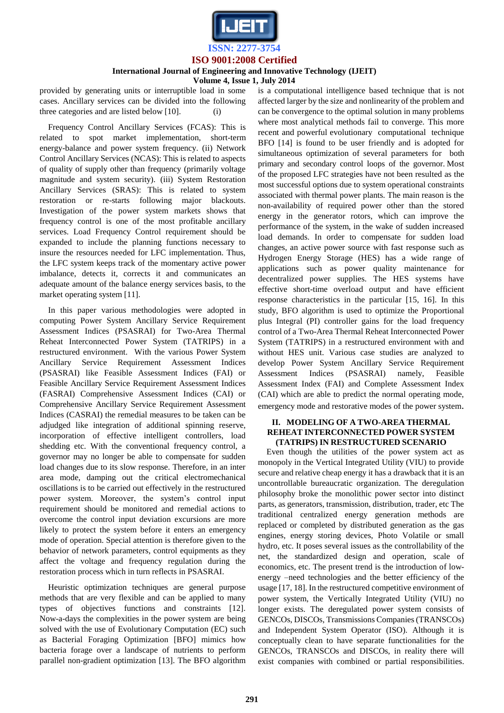

## **International Journal of Engineering and Innovative Technology (IJEIT)**

**Volume 4, Issue 1, July 2014**

provided by generating units or interruptible load in some cases. Ancillary services can be divided into the following three categories and are listed below [10]. (i)

Frequency Control Ancillary Services (FCAS): This is related to spot market implementation, short-term energy-balance and power system frequency. (ii) Network Control Ancillary Services (NCAS): This is related to aspects of quality of supply other than frequency (primarily voltage magnitude and system security). (iii) System Restoration Ancillary Services (SRAS): This is related to system restoration or re-starts following major blackouts. Investigation of the power system markets shows that frequency control is one of the most profitable ancillary services. Load Frequency Control requirement should be expanded to include the planning functions necessary to insure the resources needed for LFC implementation. Thus, the LFC system keeps track of the momentary active power imbalance, detects it, corrects it and communicates an adequate amount of the balance energy services basis, to the market operating system [11].

In this paper various methodologies were adopted in computing Power System Ancillary Service Requirement Assessment Indices (PSASRAI) for Two-Area Thermal Reheat Interconnected Power System (TATRIPS) in a restructured environment. With the various Power System Ancillary Service Requirement Assessment Indices (PSASRAI) like Feasible Assessment Indices (FAI) or Feasible Ancillary Service Requirement Assessment Indices (FASRAI) Comprehensive Assessment Indices (CAI) or Comprehensive Ancillary Service Requirement Assessment Indices (CASRAI) the remedial measures to be taken can be adjudged like integration of additional spinning reserve, incorporation of effective intelligent controllers, load shedding etc. With the conventional frequency control, a governor may no longer be able to compensate for sudden load changes due to its slow response. Therefore, in an inter area mode, damping out the critical electromechanical oscillations is to be carried out effectively in the restructured power system. Moreover, the system"s control input requirement should be monitored and remedial actions to overcome the control input deviation excursions are more likely to protect the system before it enters an emergency mode of operation. Special attention is therefore given to the behavior of network parameters, control equipments as they affect the voltage and frequency regulation during the restoration process which in turn reflects in PSASRAI.

Heuristic optimization techniques are general purpose methods that are very flexible and can be applied to many types of objectives functions and constraints [12]. Now-a-days the complexities in the power system are being solved with the use of Evolutionary Computation (EC) such as Bacterial Foraging Optimization [BFO] mimics how bacteria forage over a landscape of nutrients to perform parallel non-gradient optimization [13]. The BFO algorithm is a computational intelligence based technique that is not affected larger by the size and nonlinearity of the problem and can be convergence to the optimal solution in many problems where most analytical methods fail to converge. This more recent and powerful evolutionary computational technique BFO [14] is found to be user friendly and is adopted for simultaneous optimization of several parameters for both primary and secondary control loops of the governor. Most of the proposed LFC strategies have not been resulted as the most successful options due to system operational constraints associated with thermal power plants. The main reason is the non-availability of required power other than the stored energy in the generator rotors, which can improve the performance of the system, in the wake of sudden increased load demands. In order to compensate for sudden load changes, an active power source with fast response such as Hydrogen Energy Storage (HES) has a wide range of applications such as power quality maintenance for decentralized power supplies. The HES systems have effective short-time overload output and have efficient response characteristics in the particular [15, 16]. In this study, BFO algorithm is used to optimize the Proportional plus Integral (PI) controller gains for the load frequency control of a Two-Area Thermal Reheat Interconnected Power System (TATRIPS) in a restructured environment with and without HES unit. Various case studies are analyzed to develop Power System Ancillary Service Requirement Assessment Indices (PSASRAI) namely, Feasible Assessment Index (FAI) and Complete Assessment Index (CAI) which are able to predict the normal operating mode, emergency mode and restorative modes of the power system.

## **II. MODELING OF A TWO-AREA THERMAL REHEAT INTERCONNECTED POWER SYSTEM (TATRIPS) IN RESTRUCTURED SCENARIO**

Even though the utilities of the power system act as monopoly in the Vertical Integrated Utility (VIU) to provide secure and relative cheap energy it has a drawback that it is an uncontrollable bureaucratic organization. The deregulation philosophy broke the monolithic power sector into distinct parts, as generators, transmission, distribution, trader, etc The traditional centralized energy generation methods are replaced or completed by distributed generation as the gas engines, energy storing devices, Photo Volatile or small hydro, etc. It poses several issues as the controllability of the net, the standardized design and operation, scale of economics, etc. The present trend is the introduction of lowenergy –need technologies and the better efficiency of the usage [17, 18]. In the restructured competitive environment of power system, the Vertically Integrated Utility (VIU) no longer exists. The deregulated power system consists of GENCOs, DISCOs, Transmissions Companies (TRANSCOs) and Independent System Operator (ISO). Although it is conceptually clean to have separate functionalities for the GENCOs, TRANSCOs and DISCOs, in reality there will exist companies with combined or partial responsibilities.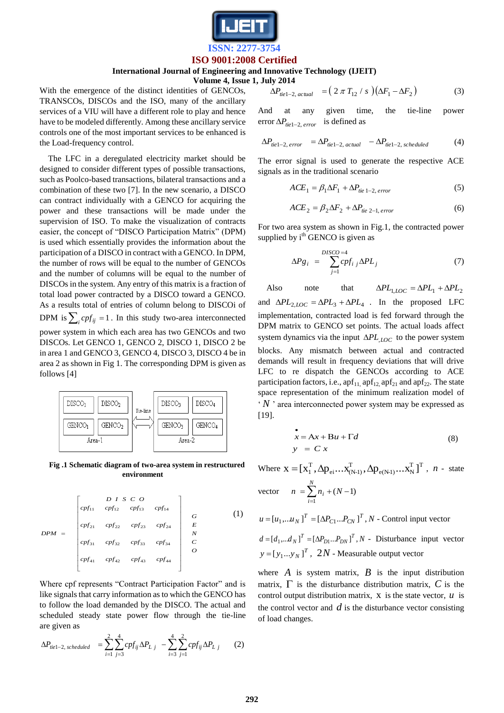

#### **International Journal of Engineering and Innovative Technology (IJEIT)**

**Volume 4, Issue 1, July 2014**

With the emergence of the distinct identities of GENCOs, TRANSCOs, DISCOs and the ISO, many of the ancillary services of a VIU will have a different role to play and hence have to be modeled differently. Among these ancillary service controls one of the most important services to be enhanced is the Load-frequency control.

The LFC in a deregulated electricity market should be designed to consider different types of possible transactions, such as Poolco-based transactions, bilateral transactions and a combination of these two [7]. In the new scenario, a DISCO can contract individually with a GENCO for acquiring the power and these transactions will be made under the supervision of ISO. To make the visualization of contracts easier, the concept of "DISCO Participation Matrix" (DPM) is used which essentially provides the information about the participation of a DISCO in contract with a GENCO. In DPM, the number of rows will be equal to the number of GENCOs and the number of columns will be equal to the number of DISCOs in the system. Any entry of this matrix is a fraction of total load power contracted by a DISCO toward a GENCO. As a results total of entries of column belong to DISCOi of DPM is  $\sum_i cpf_{ij} = 1$ . In this study two-area interconnected power system in which each area has two GENCOs and two DISCOs. Let GENCO 1, GENCO 2, DISCO 1, DISCO 2 be in area 1 and GENCO 3, GENCO 4, DISCO 3, DISCO 4 be in area 2 as shown in Fig 1. The corresponding DPM is given as follows [4]



**Fig .1 Schematic diagram of two-area system in restructured environment**

$$
DPM = \begin{bmatrix} D & I & S & C & O \\ cpf_{11} & cpf_{12} & cpf_{13} & cpf_{14} \\ cpf_{21} & cpf_{22} & cpf_{23} & cpf_{24} & E \\ cpf_{31} & cpf_{32} & cpf_{33} & cpf_{34} & C \\ cpf_{41} & cpf_{42} & cpf_{43} & cpf_{44} & O \end{bmatrix} \qquad (1)
$$

Where cpf represents "Contract Participation Factor" and is like signals that carry information as to which the GENCO has to follow the load demanded by the DISCO. The actual and scheduled steady state power flow through the tie-line are given as

$$
\Delta P_{\text{tie 1-2, scheduled}} = \sum_{i=1}^{2} \sum_{j=3}^{4} cpf_{ij} \Delta P_{Lj} - \sum_{i=3}^{4} \sum_{j=1}^{2} cpf_{ij} \Delta P_{Lj} \qquad (2)
$$

$$
\Delta P_{\text{tie}1-2,\text{actual}} = (2 \pi T_{12} / s) (\Delta F_1 - \Delta F_2)
$$
 (3)

And at any given time, the tie-line power  $\exp A P_{tie1-2, error}$ is defined as

$$
\Delta P_{\text{tie 1-2, error}} = \Delta P_{\text{tie 1-2, actual}} - \Delta P_{\text{tie 1-2, scheduled}} \tag{4}
$$

The error signal is used to generate the respective ACE signals as in the traditional scenario

$$
ACE_1 = \beta_1 \Delta F_1 + \Delta P_{tie 1-2, error}
$$
 (5)

$$
ACE2 = \beta_2 \Delta F_2 + \Delta P_{tie 2-1, error}
$$
 (6)

For two area system as shown in Fig.1, the contracted power supplied by  $i<sup>th</sup>$  GENCO is given as

$$
\Delta P g_i = \sum_{j=1}^{DISCO=4} c p f_{i j} \Delta P L_j \tag{7}
$$

Also note that  $\Delta PL_{1,loc} = \Delta PL_1 + \Delta PL_2$ and  $\Delta PL_{2,LOC} = \Delta PL_3 + \Delta PL_4$ . In the proposed LFC implementation, contracted load is fed forward through the DPM matrix to GENCO set points. The actual loads affect system dynamics via the input  $\Delta PL$ , *LOC* to the power system blocks. Any mismatch between actual and contracted demands will result in frequency deviations that will drive LFC to re dispatch the GENCOs according to ACE participation factors, i.e.,  $\operatorname{apf}_{11}$ ,  $\operatorname{apf}_{12}$ ,  $\operatorname{apf}_{21}$  and  $\operatorname{apf}_{22}$ . The state space representation of the minimum realization model of  $Y'$  area interconnected power system may be expressed as [19].

$$
x = Ax + Bu + \Gamma d
$$
  
\n
$$
y = C x
$$
\n(8)

Where  $\mathbf{x} = [\mathbf{x}_1^{\mathrm{T}}, \Delta \mathbf{p}_{\mathrm{ei}} \dots \mathbf{x}_{(\mathrm{NL})}^{\mathrm{T}}, \Delta \mathbf{p}_{\mathrm{e}(\mathrm{NL})} \dots \mathbf{x}_{\mathrm{N}}^{\mathrm{T}}]^{\mathrm{T}}$  $e(N-1) \cdots \Lambda_N$ T ei  $\cdots \Lambda_{(N-1)}$  $X = [X_1^T, \Delta p_{ei} \dots X_{(N-1)}^T, \Delta p_{e(N-1)} \dots X_N^T]^T$ , *n* - state vector  $n = \sum_{i=1}^{\infty} n_i + (N -$ *N i*  $n = \sum n_i + (N)$ 1  $(N-1)$  $u = [u_1, ... u_N]^T = [\Delta P_{C1}... P_{CN}]^T$ , *N* - Control input vector  $d = [d_1, \ldots, d_N]^T = [\Delta P_{D1} \ldots P_{DN}]^T$ , *N* - Disturbance input vector  $y = [y_1...y_N]^T$ , 2*N* - Measurable output vector

where  $A$  is system matrix,  $B$  is the input distribution matrix,  $\Gamma$  is the disturbance distribution matrix,  $C$  is the control output distribution matrix,  $X$  is the state vector,  $u$  is the control vector and  $d$  is the disturbance vector consisting of load changes.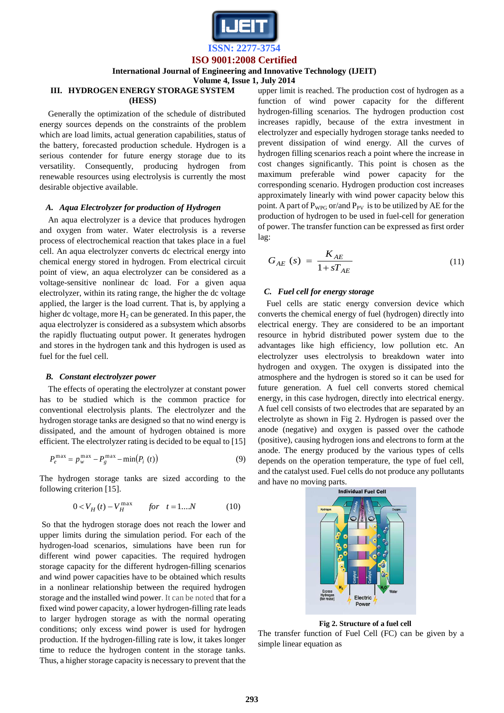

## **International Journal of Engineering and Innovative Technology (IJEIT)**

**Volume 4, Issue 1, July 2014**

## **III. HYDROGEN ENERGY STORAGE SYSTEM (HESS)**

Generally the optimization of the schedule of distributed energy sources depends on the constraints of the problem which are load limits, actual generation capabilities, status of the battery, forecasted production schedule. Hydrogen is a serious contender for future energy storage due to its versatility. Consequently, producing hydrogen from renewable resources using electrolysis is currently the most desirable objective available.

## *A. Aqua Electrolyzer for production of Hydrogen*

An aqua electrolyzer is a device that produces hydrogen and oxygen from water. Water electrolysis is a reverse process of electrochemical reaction that takes place in a fuel cell. An aqua electrolyzer converts dc electrical energy into chemical energy stored in hydrogen. From electrical circuit point of view, an aqua electrolyzer can be considered as a voltage-sensitive nonlinear dc load. For a given aqua electrolyzer, within its rating range, the higher the dc voltage applied, the larger is the load current. That is, by applying a higher dc voltage, more  $H_2$  can be generated. In this paper, the aqua electrolyzer is considered as a subsystem which absorbs the rapidly fluctuating output power. It generates hydrogen and stores in the hydrogen tank and this hydrogen is used as fuel for the fuel cell.

#### *B. Constant electrolyzer power*

The effects of operating the electrolyzer at constant power has to be studied which is the common practice for conventional electrolysis plants. The electrolyzer and the hydrogen storage tanks are designed so that no wind energy is dissipated, and the amount of hydrogen obtained is more efficient. The electrolyzer rating is decided to be equal to [15]

$$
P_e^{\max} = p_w^{\max} - P_g^{\max} - \min(P_i(t))
$$
\n(9)

The hydrogen storage tanks are sized according to the following criterion [15].

$$
0 < V_H(t) - V_H^{\text{max}} \qquad \text{for} \quad t = 1...N \tag{10}
$$

So that the hydrogen storage does not reach the lower and upper limits during the simulation period. For each of the hydrogen-load scenarios, simulations have been run for different wind power capacities. The required hydrogen storage capacity for the different hydrogen-filling scenarios and wind power capacities have to be obtained which results in a nonlinear relationship between the required hydrogen storage and the installed wind power. It can be noted that for a fixed wind power capacity, a lower hydrogen-filling rate leads to larger hydrogen storage as with the normal operating conditions; only excess wind power is used for hydrogen production. If the hydrogen-filling rate is low, it takes longer time to reduce the hydrogen content in the storage tanks. Thus, a higher storage capacity is necessary to prevent that the upper limit is reached. The production cost of hydrogen as a function of wind power capacity for the different hydrogen-filling scenarios. The hydrogen production cost increases rapidly, because of the extra investment in electrolyzer and especially hydrogen storage tanks needed to prevent dissipation of wind energy. All the curves of hydrogen filling scenarios reach a point where the increase in cost changes significantly. This point is chosen as the maximum preferable wind power capacity for the corresponding scenario. Hydrogen production cost increases approximately linearly with wind power capacity below this point. A part of  $P_{WPG}$  or/and  $P_{PV}$  is to be utilized by AE for the production of hydrogen to be used in fuel-cell for generation of power. The transfer function can be expressed as first order lag:

$$
G_{AE} \left( s \right) = \frac{K_{AE}}{1 + sT_{AE}} \tag{11}
$$

## *C. Fuel cell for energy storage*

Fuel cells are static energy conversion device which converts the chemical energy of fuel (hydrogen) directly into electrical energy. They are considered to be an important resource in hybrid distributed power system due to the advantages like high efficiency, low pollution etc. An electrolyzer uses electrolysis to breakdown water into hydrogen and oxygen. The oxygen is dissipated into the atmosphere and the hydrogen is stored so it can be used for future generation. A fuel cell converts stored chemical energy, in this case hydrogen, directly into electrical energy. A fuel cell consists of two electrodes that are separated by an electrolyte as shown in Fig 2. Hydrogen is passed over the anode (negative) and oxygen is passed over the cathode (positive), causing hydrogen ions and electrons to form at the anode. The energy produced by the various types of cells depends on the operation temperature, the type of fuel cell, and the catalyst used. Fuel cells do not produce any pollutants and have no moving parts.



**Fig 2. Structure of a fuel cell**

The transfer function of Fuel Cell (FC) can be given by a simple linear equation as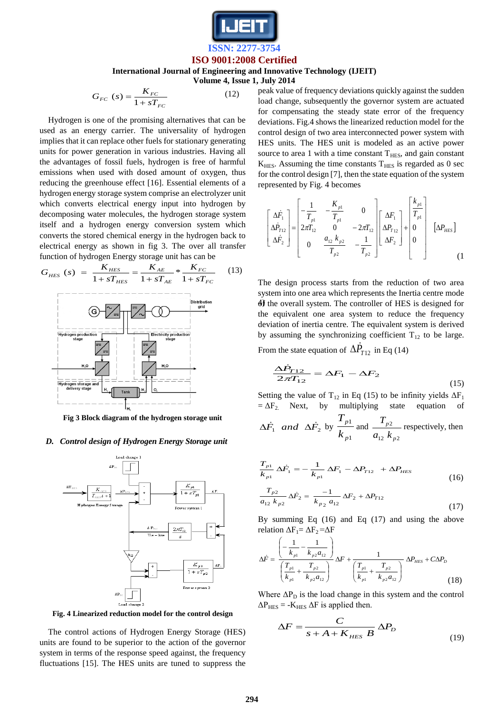

## **International Journal of Engineering and Innovative Technology (IJEIT)**

**Volume 4, Issue 1, July 2014**

$$
G_{FC} (s) = \frac{K_{FC}}{1 + sT_{FC}} \tag{12}
$$

Hydrogen is one of the promising alternatives that can be used as an energy carrier. The universality of hydrogen implies that it can replace other fuels for stationary generating units for power generation in various industries. Having all the advantages of fossil fuels, hydrogen is free of harmful emissions when used with dosed amount of oxygen, thus reducing the greenhouse effect [16]. Essential elements of a hydrogen energy storage system comprise an electrolyzer unit which converts electrical energy input into hydrogen by decomposing water molecules, the hydrogen storage system itself and a hydrogen energy conversion system which converts the stored chemical energy in the hydrogen back to electrical energy as shown in fig 3. The over all transfer function of hydrogen Energy storage unit has can be

$$
G_{HES} (s) = \frac{K_{HES}}{1 + sT_{HES}} = \frac{K_{AE}}{1 + sT_{AE}} * \frac{K_{FC}}{1 + sT_{FC}} \qquad (13)
$$



**Fig 3 Block diagram of the hydrogen storage unit**

#### *D. Control design of Hydrogen Energy Storage unit*



**Fig. 4 Linearized reduction model for the control design**

The control actions of Hydrogen Energy Storage (HES) units are found to be superior to the action of the governor system in terms of the response speed against, the frequency fluctuations [15]. The HES units are tuned to suppress the peak value of frequency deviations quickly against the sudden load change, subsequently the governor system are actuated for compensating the steady state error of the frequency deviations. Fig.4 shows the linearized reduction model for the control design of two area interconnected power system with HES units. The HES unit is modeled as an active power source to area 1 with a time constant  $T<sub>HES</sub>$ , and gain constant  $K<sub>HES</sub>$ . Assuming the time constants  $T<sub>HES</sub>$  is regarded as 0 sec for the control design [7], then the state equation of the system represented by Fig. 4 becomes

$$
\begin{bmatrix}\n\Delta \dot{F}_1 \\
\Delta \dot{P}_{T12} \\
\Delta \dot{F}_2\n\end{bmatrix} = \begin{bmatrix}\n-\frac{1}{T_{p1}} & -\frac{K_{p1}}{T_{p1}} & 0 \\
2\pi T_{12} & 0 & -2\pi T_{12} \\
0 & \frac{a_{12} k_{p2}}{T_{p2}} & -\frac{1}{T_{p2}}\n\end{bmatrix} \begin{bmatrix}\n\Delta F_1 \\
\Delta P_{T12} \\
\Delta F_2\n\end{bmatrix} + \begin{bmatrix}\n\frac{k_{p1}}{T_{p1}} \\
0 \\
0 \\
0\n\end{bmatrix} \quad [\Delta P_{HES}]
$$
\n(1)

 $4$ f the overall system. The controller of HES is designed for The design process starts from the reduction of two area system into one area which represents the Inertia centre mode the equivalent one area system to reduce the frequency deviation of inertia centre. The equivalent system is derived by assuming the synchronizing coefficient  $T_{12}$  to be large.

From the state equation of  $\Delta \dot{P}_{T12}$  in Eq (14)

$$
\frac{\Delta \dot{P}_{T12}}{2\pi T_{12}} = \Delta F_1 - \Delta F_2
$$
\n(15)

Setting the value of T<sub>12</sub> in Eq (15) to be infinity yields  $\Delta F_1$  $=\Delta F_2$  Next, by multiplying state equation  $\Delta \dot{F}_1$  *and*  $\Delta \dot{F}_2$  by 1 1 *p p k T* and 12  $\binom{n}{p}$ 2 *p p*  $a_{12}$   $k$  $T_{p2}$  respectively, then

$$
\frac{T_{p1}}{k_{p1}} \Delta \dot{F}_1 = -\frac{1}{k_{p1}} \Delta F_1 - \Delta P_{T12} + \Delta P_{HES}
$$
\n
$$
\frac{T_{p2}}{a_{12} k_{p2}} \Delta \dot{F}_2 = \frac{-1}{k_{p2} a_{12}} \Delta F_2 + \Delta P_{T12}
$$
\n(17)

By summing Eq (16) and Eq (17) and using the above relation  $\Delta F_1 = \Delta F_2 = \Delta F$ 

$$
\Delta \dot{F} = \frac{\left(-\frac{1}{k_{p1}} - \frac{1}{k_{p2}a_{12}}\right)}{\left(\frac{T_{p1}}{k_{p1}} + \frac{T_{p2}}{k_{p2}a_{12}}\right)} \Delta F + \frac{1}{\left(\frac{T_{p1}}{k_{p1}} + \frac{T_{p2}}{k_{p2}a_{12}}\right)} \Delta P_{HES} + C\Delta P_D
$$
\n(18)

Where  $\Delta P_D$  is the load change in this system and the control  $\Delta P_{\text{HES}}$  = - $K_{\text{HES}} \Delta F$  is applied then.

$$
\Delta F = \frac{C}{s + A + K_{\text{HES}}} \Delta P_D \tag{19}
$$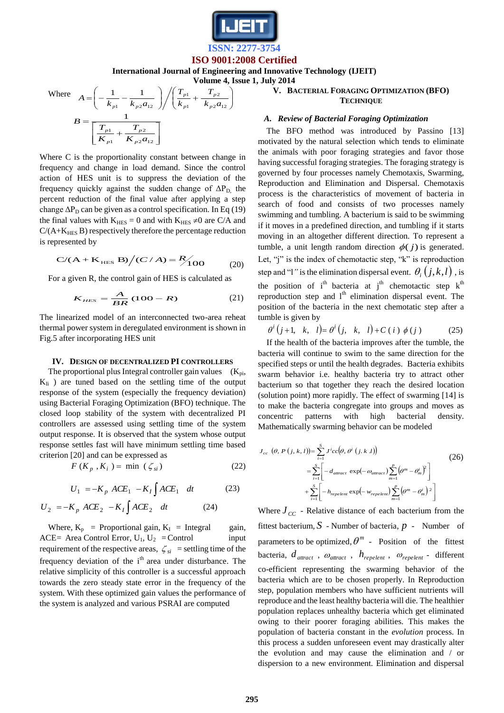

**International Journal of Engineering and Innovative Technology (IJEIT)**

**Volume 4, Issue 1, July 2014**

Where 
$$
A = \left(-\frac{1}{k_{p1}} - \frac{1}{k_{p2}a_{12}}\right) / \left(\frac{T_{p1}}{k_{p1}} + \frac{T_{p2}}{k_{p2}a_{12}}\right)
$$

$$
B = \frac{1}{\left[\frac{T_{p1}}{K_{p1}} + \frac{T_{p2}}{K_{p2}a_{12}}\right]}
$$

Where C is the proportionality constant between change in frequency and change in load demand. Since the control action of HES unit is to suppress the deviation of the frequency quickly against the sudden change of  $\Delta P_D$ , the percent reduction of the final value after applying a step change  $\Delta P_D$  can be given as a control specification. In Eq (19) the final values with  $K<sub>HES</sub> = 0$  and with  $K<sub>HES</sub> \neq 0$  are C/A and  $C/(A+K<sub>HES</sub> B)$  respectively therefore the percentage reduction is represented by

$$
C/(A + K_{\text{HES}} B)/(C/A) = \frac{R}{100}
$$
 (20)

For a given R, the control gain of HES is calculated as

$$
K_{\text{HES}} = \frac{A}{BR} (100 - R) \tag{21}
$$

The linearized model of an interconnected two-area reheat thermal power system in deregulated environment is shown in Fig.5 after incorporating HES unit

#### **IV. DESIGN OF DECENTRALIZED PI CONTROLLERS**

The proportional plus Integral controller gain values  $(K_{pi}$ ,  $K_{Ii}$ ) are tuned based on the settling time of the output response of the system (especially the frequency deviation) using Bacterial Foraging Optimization (BFO) technique. The closed loop stability of the system with decentralized PI controllers are assessed using settling time of the system output response. It is observed that the system whose output response settles fast will have minimum settling time based criterion [20] and can be expressed as

$$
F(K_p, K_i) = \min (\zeta_{si}) \tag{22}
$$

$$
U_1 = -K_p \ ACE_1 - K_I \int ACE_1 dt \qquad (23)
$$

$$
U_2 = -K_p ACE_2 - K_I \int ACE_2 dt
$$
 (24)

Where,  $K_p$  = Proportional gain,  $K_I$  = Integral gain, ACE= Area Control Error,  $U_1$ ,  $U_2$  = Control input requirement of the respective areas,  $\zeta_{si}$  = settling time of the frequency deviation of the  $i<sup>th</sup>$  area under disturbance. The relative simplicity of this controller is a successful approach towards the zero steady state error in the frequency of the system. With these optimized gain values the performance of the system is analyzed and various PSRAI are computed

## **V. BACTERIAL FORAGING OPTIMIZATION (BFO) TECHNIQUE**

#### *A. Review of Bacterial Foraging Optimization*

The BFO method was introduced by Passino [13] motivated by the natural selection which tends to eliminate the animals with poor foraging strategies and favor those having successful foraging strategies. The foraging strategy is governed by four processes namely Chemotaxis, Swarming, Reproduction and Elimination and Dispersal. Chemotaxis process is the characteristics of movement of bacteria in search of food and consists of two processes namely swimming and tumbling. A bacterium is said to be swimming if it moves in a predefined direction, and tumbling if it starts moving in an altogether different direction. To represent a tumble, a unit length random direction  $\phi(j)$  is generated. Let, "j" is the index of chemotactic step, "k" is reproduction step and "l" is the elimination dispersal event.  $\theta_i(j,k,l)$ , is the position of  $i<sup>th</sup>$  bacteria at  $j<sup>th</sup>$  chemotactic step  $k<sup>th</sup>$ reproduction step and  $l<sup>th</sup>$  elimination dispersal event. The position of the bacteria in the next chemotatic step after a tumble is given by

$$
\theta^{i}(j+1, k, l) = \theta^{i}(j, k, l) + C(i) \phi(j)
$$
 (25)

If the health of the bacteria improves after the tumble, the bacteria will continue to swim to the same direction for the specified steps or until the health degrades. Bacteria exhibits swarm behavior i.e. healthy bacteria try to attract other bacterium so that together they reach the desired location (solution point) more rapidly. The effect of swarming [14] is to make the bacteria congregate into groups and moves as concentric patterns with high bacterial density. Mathematically swarming behavior can be modeled

$$
J_{cc} (\theta, P (j, k, l)) = \sum_{i=1}^{S} J^{i}cc(\theta, \theta^{i} (j, k, l))
$$
\n
$$
= \sum_{i=1}^{S} \left[ -d_{a\text{trace}} \exp(-\omega_{a\text{trace}}) \sum_{m=1}^{P} (\theta^{m} - \theta_{m}^{i})^{2} \right]
$$
\n
$$
+ \sum_{i=1}^{S} \left[ -h_{repe\text{ten}} \exp(-w_{repe\text{ten}}) \sum_{m=1}^{P} (\theta^{m} - \theta_{m}^{i})^{2} \right]
$$
\n(26)

Where  $J_{CC}$  - Relative distance of each bacterium from the fittest bacterium, *S* - Number of bacteria, *p* - Number of parameters to be optimized,  $\theta^m$  - Position of the fittest bacteria,  $d_{\text{attract}}$ ,  $\omega_{\text{attract}}$ ,  $h_{\text{repelent}}$ ,  $\omega_{\text{repelent}}$  - different co-efficient representing the swarming behavior of the bacteria which are to be chosen properly. In Reproduction step, population members who have sufficient nutrients will reproduce and the least healthy bacteria will die. The healthier population replaces unhealthy bacteria which get eliminated owing to their poorer foraging abilities. This makes the population of bacteria constant in the *evolution* process. In this process a sudden unforeseen event may drastically alter the evolution and may cause the elimination and / or dispersion to a new environment. Elimination and dispersal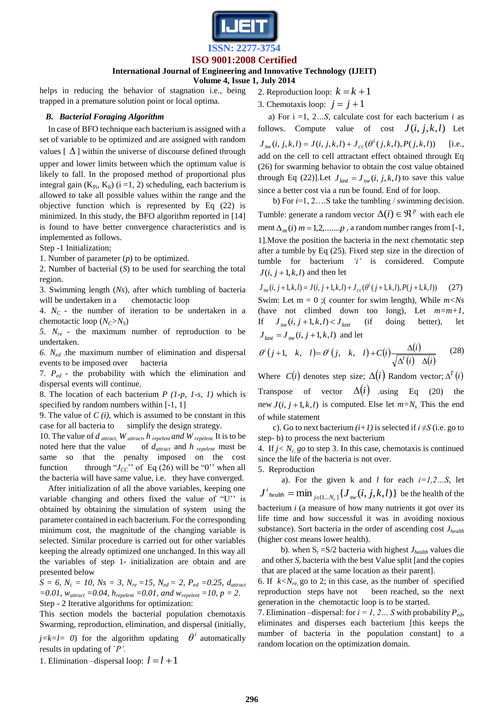

## **International Journal of Engineering and Innovative Technology (IJEIT)**

**Volume 4, Issue 1, July 2014**

helps in reducing the behavior of stagnation i.e., being trapped in a premature solution point or local optima.

## *B. Bacterial Foraging Algorithm*

In case of BFO technique each bacterium is assigned with a set of variable to be optimized and are assigned with random values  $[\Delta]$  within the universe of discourse defined through

upper and lower limits between which the optimum value is likely to fall. In the proposed method of proportional plus integral gain  $(K_{Pi}, K_{Ii})$  (i =1, 2) scheduling, each bacterium is allowed to take all possible values within the range and the objective function which is represented by Eq (22) is minimized. In this study, the BFO algorithm reported in [14] is found to have better convergence characteristics and is implemented as follows.

Step -1 Initialization;

1. Number of parameter (*p*) to be optimized.

2. Number of bacterial (*S*) to be used for searching the total region.

3. Swimming length (*Ns*), after which tumbling of bacteria will be undertaken in a chemotactic loop

4. *NC* - the number of iteration to be undertaken in a chemotactic loop  $(N_C > N_S)$ 

*5*.  $N_{re}$  - the maximum number of reproduction to be undertaken.

*6. Ned -* the maximum number of elimination and dispersal events to be imposed over bacteria

7. *Ped* - the probability with which the elimination and dispersal events will continue.

8. The location of each bacterium *P (1-p, 1-s, 1)* which is specified by random numbers within [-1, 1]

9. The value of *C (i),* which is assumed to be constant in this case for all bacteria to simplify the design strategy.

10. The value of *d attract, W attract, h repelent and W repelent*. It is to be noted here that the value of *dattract* and *h repelent* must be same so that the penalty imposed on the cost function through " $J_{CC}$ " of Eq (26) will be "0" when all the bacteria will have same value, i.e. they have converged.

After initialization of all the above variables, keeping one variable changing and others fixed the value of "U" is obtained by obtaining the simulation of system using the parameter contained in each bacterium. For the corresponding minimum cost, the magnitude of the changing variable is selected. Similar procedure is carried out for other variables keeping the already optimized one unchanged. In this way all the variables of step 1- initialization are obtain and are presented below

 $S = 6$ ,  $N_c = 10$ ,  $Ns = 3$ ,  $N_{re} = 15$ ,  $N_{ed} = 2$ ,  $P_{ed} = 0.25$ ,  $d_{attract}$ *=0.01, wattract =0.04, hrepelent =0.01, and wrepelent =10, p = 2.* Step - 2 Iterative algorithms for optimization:

This section models the bacterial population chemotaxis Swarming, reproduction, elimination, and dispersal (initially*,*   $j=k=l=0$ ) for the algorithm updating  $\theta^i$  automatically results in updating of `*P'.*

1. Elimination –dispersal loop:  $l = l + 1$ 

- 2. Reproduction loop:  $k = k + 1$
- 3. Chemotaxis loop:  $j = j + 1$

 a) For i =1, 2*…S*, calculate cost for each bacterium *i* as follows. Compute value of cost  $J(i, j, k, l)$  Let  $J_{sw}(i, j, k, l) = J(i, j, k, l) + J_{cc}(\theta^{i}(j, k, l), P(j, k, l))$ [i.e., add on the cell to cell attractant effect obtained through Eq (26) for swarming behavior to obtain the cost value obtained through Eq (22)]. Let  $J_{\text{last}} = J_{\text{sw}}(i, j, k, l)$  to save this value since a better cost via a run be found. End of for loop.

 b) For *i*=1, 2….S take the tumbling / swimming decision. Tumble: generate a random vector  $\Delta(i) \in \mathbb{R}^p$  with each ele ment  $\Delta_m(i)$  *m* = 1,2,.......*p*, a random number ranges from [-1, 1].Move the position the bacteria in the next chemotatic step after a tumble by Eq (25). Fixed step size in the direction of tumble for bacterium *'i'* is considered. Compute  $J(i, j+1, k, l)$  and then let

$$
J_{sw}(i, j+1, k, l) = J(i, j+1, k, l) + J_{cc}(\theta^{i}(j+1, k, l), P(j+1, k, l))
$$
 (27)  
\nSwim: Let m = 0 ; ( counter for swim length), While *mNs*  
\n(have not climbed down too long), Let *m*=*m*+*1*,  
\nIf  $J_{sw}(i, j+1, k, l) < J_{last}$  (if doing better), let  
\n $J_{last} = J_{sw}(i, j+1, k, l)$  and let

$$
\theta^{i}(j+1, k, l) = \theta^{i}(j, k, l) + C(i) \frac{\Delta(i)}{\sqrt{\Delta^{T}(i) \Delta(i)}} \qquad (28)
$$

Where  $C(i)$  denotes step size;  $\Delta(i)$  Random vector;  $\Delta^{T}(i)$ Transpose of vector  $\Delta(i)$  using Eq (20) the new  $J(i, j+1, k, l)$  is computed. Else let  $m=N_s$ . This the end of while statement

c). Go to next bacterium  $(i+1)$  is selected if  $i \neq S$  (i.e. go to step- b) to process the next bacterium

4. If  $j < N_c$  go to step 3. In this case, chemotaxis is continued since the life of the bacteria is not over.

5. Reproduction

 a). For the given k and *l* for each *i=1,2…S*, let  $J^{i}$ <sub>health</sub>  $=$   $\min_{j \in \{1...N_{c}\}} \{J_{sw}(i, j, k, l)\}$  $=\min_{j\in\{1...N_c\}}\{J_{sw}(i,j,k,l)\}\)$  be the health of the bacterium *i* (a measure of how many nutrients it got over its life time and how successful it was in avoiding noxious substance). Sort bacteria in the order of ascending cost  $J_{\text{health}}$ (higher cost means lower health).

b). when  $S_r = S/2$  bacteria with highest  $J_{\text{health}}$  values die and other  $S_r$  bacteria with the best Value split [and the copies that are placed at the same location as their parent].

6. If  $k < N_{re}$  go to 2; in this case, as the number of specified reproduction steps have not been reached, so the next generation in the chemotactic loop is to be started.

7. Elimination –dispersal: for  $i = 1, 2, \ldots$  *S* with probability  $P_{ed}$ , eliminates and disperses each bacterium [this keeps the number of bacteria in the population constant] to a random location on the optimization domain.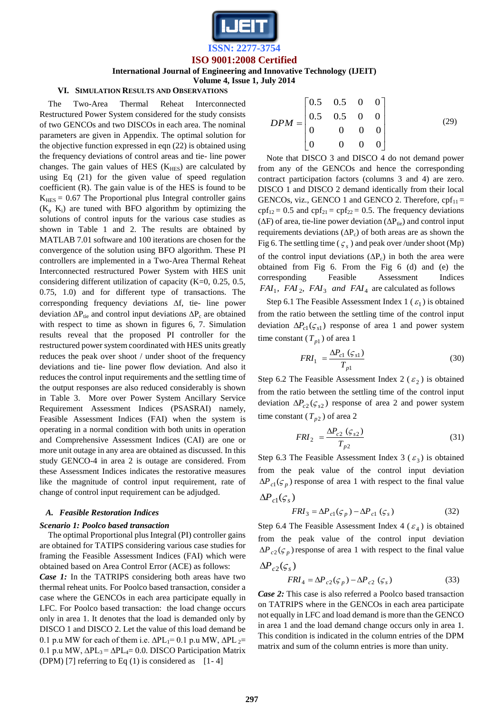

**ISSN: 2277-3754 ISO 9001:2008 Certified**

**International Journal of Engineering and Innovative Technology (IJEIT)**

**Volume 4, Issue 1, July 2014**

## **VI. SIMULATION RESULTS AND OBSERVATIONS**

The Two-Area Thermal Reheat Interconnected Restructured Power System considered for the study consists of two GENCOs and two DISCOs in each area. The nominal parameters are given in Appendix. The optimal solution for the objective function expressed in eqn (22) is obtained using the frequency deviations of control areas and tie- line power changes. The gain values of HES  $(K<sub>HES</sub>)$  are calculated by using Eq (21) for the given value of speed regulation coefficient (R). The gain value is of the HES is found to be  $K<sub>HES</sub> = 0.67$  The Proportional plus Integral controller gains  $(K_p K_i)$  are tuned with BFO algorithm by optimizing the solutions of control inputs for the various case studies as shown in Table 1 and 2. The results are obtained by MATLAB 7.01 software and 100 iterations are chosen for the convergence of the solution using BFO algorithm. These PI controllers are implemented in a Two-Area Thermal Reheat Interconnected restructured Power System with HES unit considering different utilization of capacity (K=0, 0.25, 0.5, 0.75, 1.0) and for different type of transactions. The corresponding frequency deviations  $\Delta f$ , tie- line power deviation  $\Delta P_{\text{tie}}$  and control input deviations  $\Delta P_{\text{c}}$  are obtained with respect to time as shown in figures 6, 7. Simulation results reveal that the proposed PI controller for the restructured power system coordinated with HES units greatly reduces the peak over shoot / under shoot of the frequency deviations and tie- line power flow deviation. And also it reduces the control input requirements and the settling time of the output responses are also reduced considerably is shown in Table 3. More over Power System Ancillary Service Requirement Assessment Indices (PSASRAI) namely, Feasible Assessment Indices (FAI) when the system is operating in a normal condition with both units in operation and Comprehensive Assessment Indices (CAI) are one or more unit outage in any area are obtained as discussed. In this study GENCO-4 in area 2 is outage are considered. From these Assessment Indices indicates the restorative measures like the magnitude of control input requirement, rate of change of control input requirement can be adjudged.

#### *A. Feasible Restoration Indices*

#### *Scenario 1: Poolco based transaction*

The optimal Proportional plus Integral (PI) controller gains are obtained for TATIPS considering various case studies for framing the Feasible Assessment Indices (FAI) which were obtained based on Area Control Error (ACE) as follows: *Case 1:* In the TATRIPS considering both areas have two thermal reheat units. For Poolco based transaction, consider a case where the GENCOs in each area participate equally in LFC. For Poolco based transaction: the load change occurs only in area 1. It denotes that the load is demanded only by DISCO 1 and DISCO 2. Let the value of this load demand be 0.1 p.u MW for each of them i.e.  $\Delta PL_1 = 0.1$  p.u MW,  $\Delta PL_2 =$ 0.1 p.u MW,  $ΔPL_3 = ΔPL_4 = 0.0$ . DISCO Participation Matrix (DPM) [7] referring to Eq  $(1)$  is considered as [1-4]

$$
DPM = \begin{bmatrix} 0.5 & 0.5 & 0 & 0 \\ 0.5 & 0.5 & 0 & 0 \\ 0 & 0 & 0 & 0 \\ 0 & 0 & 0 & 0 \end{bmatrix}
$$
 (29)

Note that DISCO 3 and DISCO 4 do not demand power from any of the GENCOs and hence the corresponding contract participation factors (columns 3 and 4) are zero. DISCO 1 and DISCO 2 demand identically from their local GENCOs, viz., GENCO 1 and GENCO 2. Therefore,  $\text{cpf}_{11} =$  $\text{cpf}_{12} = 0.5$  and  $\text{cpf}_{21} = \text{cpf}_{22} = 0.5$ . The frequency deviations ( $\Delta F$ ) of area, tie-line power deviation ( $\Delta P_{\text{tie}}$ ) and control input requirements deviations  $(\Delta P_c)$  of both areas are as shown the Fig 6. The settling time ( $\zeta_s$ ) and peak over /under shoot (Mp) of the control input deviations  $(\Delta P_c)$  in both the area were obtained from Fig 6. From the Fig 6 (d) and (e) the corresponding Feasible Assessment Indices  $FAI_1$ ,  $FAI_2$ ,  $FAI_3$  and  $FAI_4$  are calculated as follows

Step 6.1 The Feasible Assessment Index 1 ( $\varepsilon_1$ ) is obtained from the ratio between the settling time of the control input deviation  $\Delta P_{c1}(\zeta_{s1})$  response of area 1 and power system time constant  $(T_{p1})$  of area 1

$$
FRI_1 = \frac{\Delta P_{c1} \left( \varsigma_{s1} \right)}{T_{p1}} \tag{30}
$$

Step 6.2 The Feasible Assessment Index 2 ( $\varepsilon_2$ ) is obtained from the ratio between the settling time of the control input deviation  $\Delta P_{c2}(\zeta_{s2})$  response of area 2 and power system time constant  $(T_{p2})$  of area 2

$$
FRI_2 = \frac{\Delta P_{c2} \left(\varsigma_{s2}\right)}{T_{p2}}\tag{31}
$$

Step 6.3 The Feasible Assessment Index 3 ( $\varepsilon_3$ ) is obtained from the peak value of the control input deviation  $\Delta P_{c1}(\zeta_p)$  response of area 1 with respect to the final value

$$
\Delta P_{c1}(\varsigma_s)
$$
  
FRI<sub>3</sub> =  $\Delta P_{c1}(\varsigma_p) - \Delta P_{c1}(\varsigma_s)$  (32)

Step 6.4 The Feasible Assessment Index 4 ( $\varepsilon_4$ ) is obtained from the peak value of the control input deviation  $\Delta P_{c2}(\zeta_p)$  response of area 1 with respect to the final value

$$
\Delta P_{c2}(\zeta_s)
$$
  
 
$$
FRI_4 = \Delta P_{c2}(\zeta_p) - \Delta P_{c2}(\zeta_s)
$$
 (33)

*Case 2:* This case is also referred a Poolco based transaction on TATRIPS where in the GENCOs in each area participate not equally in LFC and load demand is more than the GENCO in area 1 and the load demand change occurs only in area 1. This condition is indicated in the column entries of the DPM matrix and sum of the column entries is more than unity.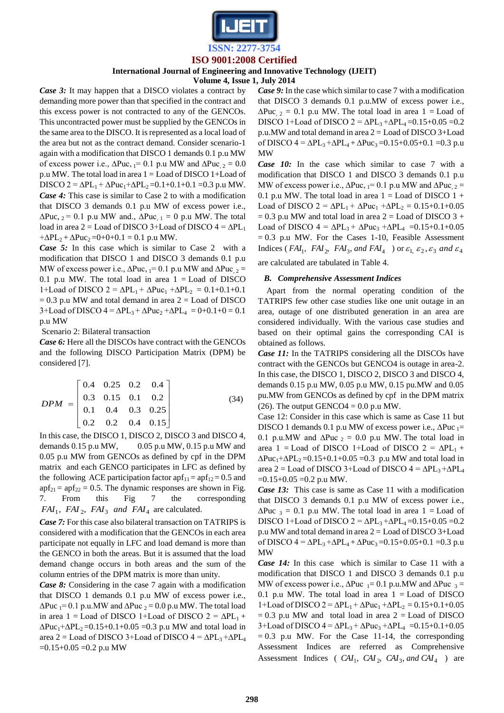

## **International Journal of Engineering and Innovative Technology (IJEIT)**

**Volume 4, Issue 1, July 2014**

*Case 3:* It may happen that a DISCO violates a contract by demanding more power than that specified in the contract and this excess power is not contracted to any of the GENCOs. This uncontracted power must be supplied by the GENCOs in the same area to the DISCO. It is represented as a local load of the area but not as the contract demand. Consider scenario-1 again with a modification that DISCO 1 demands 0.1 p.u MW of excess power i.e.,  $\Delta P$ uc, <sub>1</sub>= 0.1 p.u MW and  $\Delta P$ uc<sub>, 2</sub> = 0.0 p.u MW. The total load in area 1 = Load of DISCO 1+Load of DISCO 2 =  $\Delta PL_1 + \Delta P$ uc<sub>1</sub>+ $\Delta PL_2$  = 0.1+0.1+0.1 = 0.3 p.u MW. *Case 4:* This case is similar to Case 2 to with a modification that DISCO 3 demands 0.1 p.u MW of excess power i.e.,  $\Delta$ Puc, <sub>2</sub> = 0.1 p.u MW and.,  $\Delta$ Puc<sub>, 1</sub> = 0 p.u MW. The total load in area 2 = Load of DISCO 3+Load of DISCO  $4 = \Delta PL_1$  $+\Delta PL_2 + \Delta P$ uc<sub>2</sub> = 0+0+0.1 = 0.1 p.u MW.

*Case 5:* In this case which is similar to Case 2 with a modification that DISCO 1 and DISCO 3 demands 0.1 p.u MW of excess power i.e.,  $\Delta P$ uc,  $_{1}= 0.1$  p.u MW and  $\Delta P$ uc,  $_{2} =$ 0.1 p.u MW. The total load in area  $1 =$ Load of DISCO 1+Load of DISCO 2 =  $\Delta PL_1 + \Delta P$ uc<sub>1</sub> + $\Delta PL_2 = 0.1 + 0.1 + 0.1$  $= 0.3$  p.u MW and total demand in area  $2 =$  Load of DISCO  $3+$ Load of DISCO  $4 = \Delta PL_3 + \Delta P$ uc<sub>2</sub> + $\Delta PL_4 = 0+0.1+0 = 0.1$ p.u MW

Scenario 2: Bilateral transaction

*Case 6:* Here all the DISCOs have contract with the GENCOs and the following DISCO Participation Matrix (DPM) be considered [7].

$$
DPM = \begin{bmatrix} 0.4 & 0.25 & 0.2 & 0.4 \\ 0.3 & 0.15 & 0.1 & 0.2 \\ 0.1 & 0.4 & 0.3 & 0.25 \\ 0.2 & 0.2 & 0.4 & 0.15 \end{bmatrix}
$$
(34)

In this case, the DISCO 1, DISCO 2, DISCO 3 and DISCO 4, demands  $0.15$  p.u MW,  $0.05$  p.u MW,  $0.15$  p.u MW and 0.05 p.u MW from GENCOs as defined by cpf in the DPM matrix and each GENCO participates in LFC as defined by the following ACE participation factor  $\text{apf}_{11} = \text{apf}_{12} = 0.5$  and  $apf_{21} = apf_{22} = 0.5$ . The dynamic responses are shown in Fig. 7. From this Fig 7 the corresponding  $FAI_1$ ,  $FAI_2$ ,  $FAI_3$  and  $FAI_4$  are calculated.

*Case 7:* For this case also bilateral transaction on TATRIPS is considered with a modification that the GENCOs in each area participate not equally in LFC and load demand is more than the GENCO in both the areas. But it is assumed that the load demand change occurs in both areas and the sum of the column entries of the DPM matrix is more than unity.

*Case 8:* Considering in the case 7 again with a modification that DISCO 1 demands 0.1 p.u MW of excess power i.e.,  $\Delta$ Puc <sub>1</sub>= 0.1 p.u.MW and  $\Delta$ Puc <sub>2</sub> = 0.0 p.u MW. The total load in area 1 = Load of DISCO 1+Load of DISCO 2 =  $\Delta PL_1$  +  $\Delta P$ uc<sub>1</sub>+ $\Delta$ PL<sub>2</sub> = 0.15+0.1+0.05 = 0.3 p.u MW and total load in area 2 = Load of DISCO 3+Load of DISCO  $4 = \Delta PL_3 + \Delta PL_4$  $=0.15+0.05=0.2$  p.u MW

*Case 9:* In the case which similar to case 7 with a modification that DISCO 3 demands 0.1 p.u.MW of excess power i.e.,  $\Delta$ Puc, 2 = 0.1 p.u MW. The total load in area 1 = Load of DISCO 1+Load of DISCO 2 =  $\Delta$ PL<sub>3</sub> + $\Delta$ PL<sub>4</sub> = 0.15+0.05 = 0.2 p.u.MW and total demand in area  $2 =$  Load of DISCO 3+Load of DISCO  $4 = \Delta PL_3 + \Delta PL_4 + \Delta P$ uc<sub>3</sub>=0.15+0.05+0.1 =0.3 p.u MW

*Case 10:* In the case which similar to case 7 with a modification that DISCO 1 and DISCO 3 demands 0.1 p.u MW of excess power i.e.,  $\Delta P$ uc,  $_{1}$ = 0.1 p.u MW and  $\Delta P$ uc,  $_{2}$  = 0.1 p.u MW. The total load in area  $1 =$  Load of DISCO  $1 +$ Load of DISCO  $2 = \Delta PL_1 + \Delta P$ uc<sub>1</sub> + $\Delta PL_2 = 0.15 + 0.1 + 0.05$  $= 0.3$  p.u MW and total load in area  $2 =$  Load of DISCO 3 + Load of DISCO  $4 = \Delta PL_3 + \Delta P_{uc} + \Delta PL_4 = 0.15 + 0.1 + 0.05$  $= 0.3$  p.u MW. For the Cases 1-10, Feasible Assessment Indices (*FAI*<sub>1</sub>, *FAI*<sub>2</sub>, *FAI*<sub>3</sub>, and *FAI*<sub>4</sub> ) or  $\varepsilon_1$ ,  $\varepsilon_2$ ,  $\varepsilon_3$  and  $\varepsilon_4$ 

## are calculated are tabulated in Table 4.

## *B. Comprehensive Assessment Indices*

Apart from the normal operating condition of the TATRIPS few other case studies like one unit outage in an area, outage of one distributed generation in an area are considered individually. With the various case studies and based on their optimal gains the corresponding CAI is obtained as follows.

*Case 11:* In the TATRIPS considering all the DISCOs have contract with the GENCOs but GENCO4 is outage in area-2. In this case, the DISCO 1, DISCO 2, DISCO 3 and DISCO 4, demands 0.15 p.u MW, 0.05 p.u MW, 0.15 pu.MW and 0.05 pu.MW from GENCOs as defined by cpf in the DPM matrix (26). The output GENCO4 =  $0.0$  p.u MW.

Case 12: Consider in this case which is same as Case 11 but DISCO 1 demands 0.1 p.u MW of excess power i.e., ΔPuc <sub>1</sub>= 0.1 p.u.MW and  $\Delta P$ uc <sub>2</sub> = 0.0 p.u MW. The total load in area 1 = Load of DISCO 1+Load of DISCO 2 =  $\Delta PL_1$  +  $\Delta P$ uc<sub>1</sub>+ $\Delta$ PL<sub>2</sub> = 0.15+0.1+0.05 = 0.3 p.u MW and total load in area 2 = Load of DISCO 3+Load of DISCO 4 =  $\Delta$ PL<sub>3</sub> + $\Delta$ PL<sub>4</sub>  $=0.15+0.05 = 0.2$  p.u MW.

*Case 13:* This case is same as Case 11 with a modification that DISCO 3 demands 0.1 p.u MW of excess power i.e.,  $\Delta$ Puc <sub>3</sub> = 0.1 p.u MW. The total load in area 1 = Load of DISCO 1+Load of DISCO  $2 = \Delta PL_3 + \Delta PL_4 = 0.15 + 0.05 = 0.2$ p.u MW and total demand in area 2 = Load of DISCO 3+Load of DISCO  $4 = \Delta PL_3 + \Delta PL_4 + \Delta P$ uc<sub>3</sub>=0.15+0.05+0.1 =0.3 p.u MW

*Case 14:* In this case which is similar to Case 11 with a modification that DISCO 1 and DISCO 3 demands 0.1 p.u MW of excess power i.e.,  $\Delta P$ uc <sub>1</sub>= 0.1 p.u.MW and  $\Delta P$ uc <sub>3</sub> = 0.1 p.u MW. The total load in area  $1 =$ Load of DISCO 1+Load of DISCO 2 =  $\Delta PL_1 + \Delta P$ uc<sub>1</sub> + $\Delta PL_2 = 0.15 + 0.1 + 0.05$  $= 0.3$  p.u MW and total load in area  $2 =$  Load of DISCO  $3+$ Load of DISCO  $4 = \Delta PL_3 + \Delta P_{uc} + \Delta PL_4 = 0.15+0.1+0.05$  $= 0.3$  p.u MW. For the Case 11-14, the corresponding Assessment Indices are referred as Comprehensive Assessment Indices ( $CAI_1$ ,  $CAI_2$ ,  $CAI_3$ , and  $CAI_4$ ) are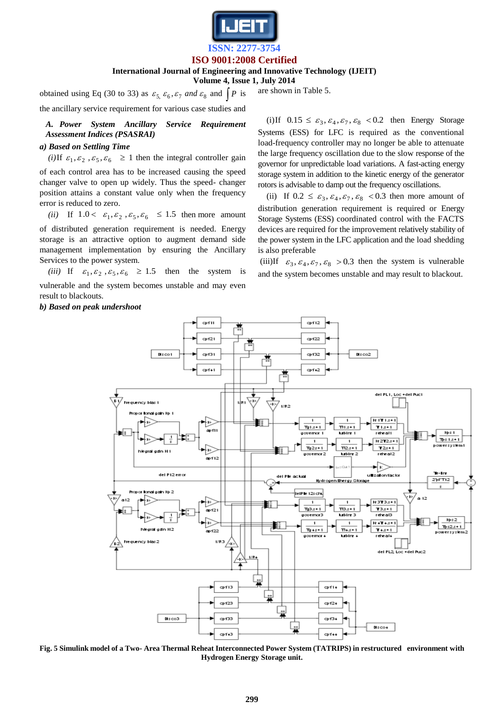

## **International Journal of Engineering and Innovative Technology (IJEIT)**

**Volume 4, Issue 1, July 2014**

obtained using Eq (30 to 33) as  $\varepsilon_5$ ,  $\varepsilon_6$ ,  $\varepsilon_7$  and  $\varepsilon_8$  and  $\int P$  is the ancillary service requirement for various case studies and

*A. Power System Ancillary Service Requirement Assessment Indices (PSASRAI)*

## *a) Based on Settling Time*

(*i*) If  $\varepsilon_1, \varepsilon_2, \varepsilon_5, \varepsilon_6 \ge 1$  then the integral controller gain

of each control area has to be increased causing the speed changer valve to open up widely. Thus the speed- changer position attains a constant value only when the frequency error is reduced to zero.

(*ii*) If  $1.0 < \varepsilon_1, \varepsilon_2, \varepsilon_5, \varepsilon_6 \le 1.5$  then more amount

of distributed generation requirement is needed. Energy storage is an attractive option to augment demand side management implementation by ensuring the Ancillary Services to the power system.

(*iii*) If  $\varepsilon_1, \varepsilon_2, \varepsilon_5, \varepsilon_6 \ge 1.5$  then the system is vulnerable and the system becomes unstable and may even result to blackouts.

## *b) Based on peak undershoot*

are shown in Table 5.

(i)If  $0.15 \leq \varepsilon_3, \varepsilon_4, \varepsilon_7, \varepsilon_8$  < 0.2 then Energy Storage Systems (ESS) for LFC is required as the conventional load-frequency controller may no longer be able to attenuate the large frequency oscillation due to the slow response of the governor for unpredictable load variations. A fast-acting energy storage system in addition to the kinetic energy of the generator rotors is advisable to damp out the frequency oscillations.

(ii) If  $0.2 \leq \varepsilon_3$ ,  $\varepsilon_4$ ,  $\varepsilon_7$ ,  $\varepsilon_8$  < 0.3 then more amount of distribution generation requirement is required or Energy Storage Systems (ESS) coordinated control with the FACTS devices are required for the improvement relatively stability of the power system in the LFC application and the load shedding is also preferable

(iii)If  $\varepsilon_3$ ,  $\varepsilon_4$ ,  $\varepsilon_7$ ,  $\varepsilon_8$  > 0.3 then the system is vulnerable and the system becomes unstable and may result to blackout.



**Fig. 5 Simulink model of a Two- Area Thermal Reheat Interconnected Power System (TATRIPS) in restructured environment with Hydrogen Energy Storage unit.**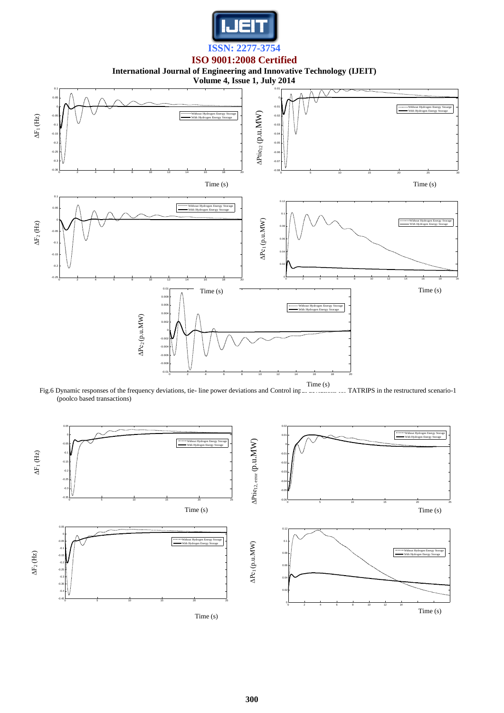

**International Journal of Engineering and Innovative Technology (IJEIT)**



Fig.6 Dynamic responses of the frequency deviations, tie- line power deviations and Control input deviations of TATRIPS in the restructured scenario-1 (poolco based transactions)

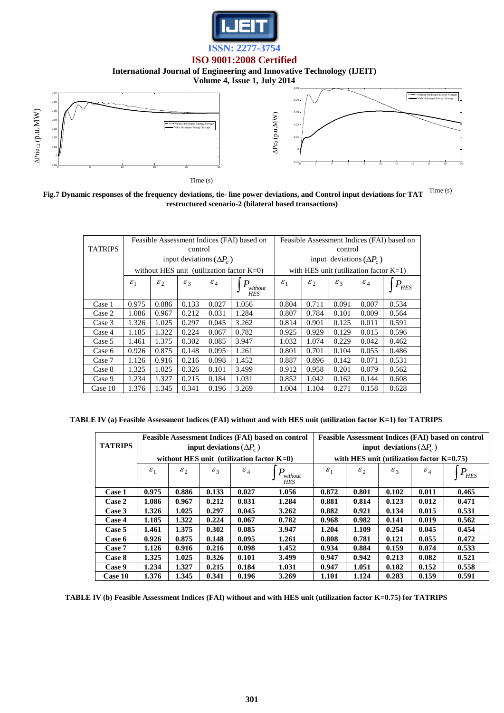

## **International Journal of Engineering and Innovative Technology (IJEIT)**

**Volume 4, Issue 1, July 2014**



Fig.7 Dynamic responses of the frequency deviations, tie- line power deviations, and Control input deviations for TAT  $\rm \{Time \ (s)}$ **restructured scenario-2 (bilateral based transactions)**

|                |                 |                                                                                                  |         |                                 | Feasible Assessment Indices (FAI) based on   | Feasible Assessment Indices (FAI) based on |               |                 |                                           |            |
|----------------|-----------------|--------------------------------------------------------------------------------------------------|---------|---------------------------------|----------------------------------------------|--------------------------------------------|---------------|-----------------|-------------------------------------------|------------|
| <b>TATRIPS</b> |                 |                                                                                                  | control |                                 |                                              | control                                    |               |                 |                                           |            |
|                |                 |                                                                                                  |         | input deviations $(\Delta P_c)$ |                                              |                                            |               |                 | input deviations $(\Delta P_c)$           |            |
|                |                 |                                                                                                  |         |                                 | without HES unit (utilization factor $K=0$ ) |                                            |               |                 | with HES unit (utilization factor $K=1$ ) |            |
|                | $\varepsilon_1$ | $\varepsilon$<br>$\mathcal{E}_3$<br>$\varepsilon_4$<br>$\boldsymbol{P}$<br>without<br><b>HES</b> |         |                                 |                                              |                                            | $\varepsilon$ | $\mathcal{E}_3$ | $\varepsilon_4$                           | <b>HES</b> |
| Case 1         | 0.975           | 0.886                                                                                            | 0.133   | 0.027                           | 1.056                                        | 0.804                                      | 0.711         | 0.091           | 0.007                                     | 0.534      |
| Case 2         | 1.086           | 0.967                                                                                            | 0.212   | 0.031                           | 1.284                                        | 0.807                                      | 0.784         | 0.101           | 0.009                                     | 0.564      |
| Case 3         | 1.326           | 1.025                                                                                            | 0.297   | 0.045                           | 3.262                                        | 0.814                                      | 0.901         | 0.125           | 0.011                                     | 0.591      |
| Case 4         | 1.185           | 1.322                                                                                            | 0.224   | 0.067                           | 0.782                                        | 0.925                                      | 0.929         | 0.129           | 0.015                                     | 0.596      |
| Case 5         | 1.461           | 1.375                                                                                            | 0.302   | 0.085                           | 3.947                                        | 1.032                                      | 1.074         | 0.229           | 0.042                                     | 0.462      |
| Case 6         | 0.926           | 0.875                                                                                            | 0.148   | 0.095                           | 1.261                                        | 0.801                                      | 0.701         | 0.104           | 0.055                                     | 0.486      |
| Case 7         | 1.126           | 0.916                                                                                            | 0.216   | 0.098                           | 1.452                                        | 0.887                                      | 0.896         | 0.142           | 0.071                                     | 0.531      |
| Case 8         | 1.325           | 1.025                                                                                            | 0.326   | 0.101                           | 3.499                                        | 0.912                                      | 0.958         | 0.201           | 0.079                                     | 0.562      |
| Case 9         | 1.234           | 1.327                                                                                            | 0.215   | 0.184                           | 1.031                                        | 0.852                                      | 1.042         | 0.162           | 0.144                                     | 0.608      |
| Case 10        | 1.376           | 1.345                                                                                            | 0.341   | 0.196                           | 3.269                                        | 1.004                                      | 1.104         | 0.271           | 0.158                                     | 0.628      |

**TABLE IV (a) Feasible Assessment Indices (FAI) without and with HES unit (utilization factor K=1) for TATRIPS**

|                |                 |                 |                 |                                 | <b>Feasible Assessment Indices (FAI) based on control</b> |                                 |                 |                 |                                              | <b>Feasible Assessment Indices (FAI) based on control</b> |
|----------------|-----------------|-----------------|-----------------|---------------------------------|-----------------------------------------------------------|---------------------------------|-----------------|-----------------|----------------------------------------------|-----------------------------------------------------------|
| <b>TATRIPS</b> |                 |                 |                 | input deviations $(\Delta P_c)$ |                                                           | input deviations $(\Delta P_c)$ |                 |                 |                                              |                                                           |
|                |                 |                 |                 |                                 | without HES unit (utilization factor $K=0$ )              |                                 |                 |                 | with HES unit (utilization factor $K=0.75$ ) |                                                           |
|                | $\varepsilon_1$ | $\varepsilon_2$ | $\varepsilon_3$ | $\varepsilon_4$                 | P<br>without<br><b>HES</b>                                | $\varepsilon_1$                 | $\varepsilon_2$ | $\mathcal{E}_3$ | $\varepsilon_4$                              | $P_{HES}$                                                 |
| Case 1         | 0.975           | 0.886           | 0.133           | 0.027                           | 1.056                                                     | 0.872                           | 0.801           | 0.102           | 0.011                                        | 0.465                                                     |
| Case 2         | 1.086           | 0.967           | 0.212           | 0.031                           | 1.284                                                     | 0.881                           | 0.814           | 0.123           | 0.012                                        | 0.471                                                     |
| Case 3         | 1.326           | 1.025           | 0.297           | 0.045                           | 3.262                                                     | 0.882                           | 0.921           | 0.134           | 0.015                                        | 0.531                                                     |
| Case 4         | 1.185           | 1.322           | 0.224           | 0.067                           | 0.782                                                     | 0.968                           | 0.982           | 0.141           | 0.019                                        | 0.562                                                     |
| Case 5         | 1.461           | 1.375           | 0.302           | 0.085                           | 3.947                                                     | 1.204                           | 1.109           | 0.254           | 0.045                                        | 0.454                                                     |
| Case 6         | 0.926           | 0.875           | 0.148           | 0.095                           | 1.261                                                     | 0.808                           | 0.781           | 0.121           | 0.055                                        | 0.472                                                     |
| Case 7         | 1.126           | 0.916           | 0.216           | 0.098                           | 1.452                                                     | 0.934                           | 0.884           | 0.159           | 0.074                                        | 0.533                                                     |
| Case 8         | 1.325           | 1.025           | 0.326           | 0.101                           | 3.499                                                     | 0.947                           | 0.942           | 0.213           | 0.082                                        | 0.521                                                     |
| Case 9         | 1.234           | 1.327           | 0.215           | 0.184                           | 1.031                                                     | 0.947                           | 1.051           | 0.182           | 0.152                                        | 0.558                                                     |
| Case 10        | 1.376           | 1.345           | 0.341           | 0.196                           | 3.269                                                     | 1.101                           | 1.124           | 0.283           | 0.159                                        | 0.591                                                     |

**TABLE IV (b) Feasible Assessment Indices (FAI) without and with HES unit (utilization factor K=0.75) for TATRIPS**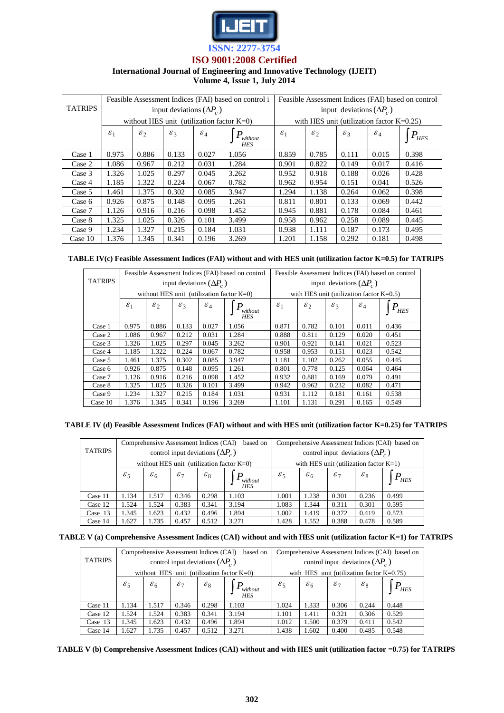

## **International Journal of Engineering and Innovative Technology (IJEIT)**

**Volume 4, Issue 1, July 2014** 

|                |                 |                                              |                                 |                 | Feasible Assessment Indices (FAI) based on control i | Feasible Assessment Indices (FAI) based on control |                                 |                 |                                              |           |
|----------------|-----------------|----------------------------------------------|---------------------------------|-----------------|------------------------------------------------------|----------------------------------------------------|---------------------------------|-----------------|----------------------------------------------|-----------|
| <b>TATRIPS</b> |                 |                                              | input deviations $(\Delta P_c)$ |                 |                                                      |                                                    | input deviations $(\Delta P_c)$ |                 |                                              |           |
|                |                 | without HES unit (utilization factor $K=0$ ) |                                 |                 |                                                      |                                                    |                                 |                 | with HES unit (utilization factor $K=0.25$ ) |           |
|                | $\varepsilon_1$ | $\varepsilon$ <sub>2</sub>                   | $\mathcal{E}_3$                 | $\varepsilon_4$ | P<br>without<br><b>HES</b>                           | $\varepsilon_1$                                    | $\varepsilon$ <sub>2</sub>      | $\mathcal{E}_3$ | $\varepsilon_4$                              | $P_{HES}$ |
| Case 1         | 0.975           | 0.886                                        | 0.133                           | 0.027           | 1.056                                                | 0.859                                              | 0.785                           | 0.111           | 0.015                                        | 0.398     |
| Case 2         | 1.086           | 0.967                                        | 0.212                           | 0.031           | 1.284                                                | 0.901                                              | 0.822                           | 0.149           | 0.017                                        | 0.416     |
| Case 3         | 1.326           | 1.025                                        | 0.297                           | 0.045           | 3.262                                                | 0.952                                              | 0.918                           | 0.188           | 0.026                                        | 0.428     |
| Case 4         | 1.185           | 1.322                                        | 0.224                           | 0.067           | 0.782                                                | 0.962                                              | 0.954                           | 0.151           | 0.041                                        | 0.526     |
| Case 5         | 1.461           | 1.375                                        | 0.302                           | 0.085           | 3.947                                                | 1.294                                              | 1.138                           | 0.264           | 0.062                                        | 0.398     |
| Case 6         | 0.926           | 0.875                                        | 0.148                           | 0.095           | 1.261                                                | 0.811                                              | 0.801                           | 0.133           | 0.069                                        | 0.442     |
| Case 7         | 1.126           | 0.916                                        | 0.216                           | 0.098           | 1.452                                                | 0.945                                              | 0.881                           | 0.178           | 0.084                                        | 0.461     |
| Case 8         | 1.325           | 1.025                                        | 0.326                           | 0.101           | 3.499                                                | 0.958                                              | 0.962                           | 0.258           | 0.089                                        | 0.445     |
| Case 9         | 1.234           | 1.327                                        | 0.215                           | 0.184           | 1.031                                                | 0.938                                              | 1.111                           | 0.187           | 0.173                                        | 0.495     |
| Case 10        | 1.376           | 1.345                                        | 0.341                           | 0.196           | 3.269                                                | 1.201                                              | 1.158                           | 0.292           | 0.181                                        | 0.498     |

## **TABLE IV(c) Feasible Assessment Indices (FAI) without and with HES unit (utilization factor K=0.5) for TATRIPS**

|                |                 |                                              |                                 |                 | Feasible Assessment Indices (FAI) based on control | Feasible Assessment Indices (FAI) based on control |                 |                 |                                             |                              |
|----------------|-----------------|----------------------------------------------|---------------------------------|-----------------|----------------------------------------------------|----------------------------------------------------|-----------------|-----------------|---------------------------------------------|------------------------------|
| <b>TATRIPS</b> |                 |                                              | input deviations $(\Delta P_c)$ |                 |                                                    | input deviations $(\Delta P_c)$                    |                 |                 |                                             |                              |
|                |                 | without HES unit (utilization factor $K=0$ ) |                                 |                 |                                                    |                                                    |                 |                 | with HES unit (utilization factor $K=0.5$ ) |                              |
|                | $\varepsilon_1$ | $\varepsilon_2$                              | $\varepsilon_3$                 | $\varepsilon_4$ | without<br><b>HES</b>                              | $\varepsilon_1$                                    | $\varepsilon_2$ | $\mathcal{E}_3$ | $\varepsilon_4$                             | $P_{\scriptscriptstyle HES}$ |
| Case 1         | 0.975           | 0.886                                        | 0.133                           | 0.027           | 1.056                                              | 0.871                                              | 0.782           | 0.101           | 0.011                                       | 0.436                        |
| Case 2         | 1.086           | 0.967                                        | 0.212                           | 0.031           | 1.284                                              | 0.888                                              | 0.811           | 0.129           | 0.020                                       | 0.451                        |
| Case 3         | 1.326           | 1.025                                        | 0.297                           | 0.045           | 3.262                                              | 0.901                                              | 0.921           | 0.141           | 0.021                                       | 0.523                        |
| Case 4         | 1.185           | 1.322                                        | 0.224                           | 0.067           | 0.782                                              | 0.958                                              | 0.953           | 0.151           | 0.023                                       | 0.542                        |
| Case 5         | 1.461           | 1.375                                        | 0.302                           | 0.085           | 3.947                                              | 1.181                                              | 1.102           | 0.262           | 0.055                                       | 0.445                        |
| Case 6         | 0.926           | 0.875                                        | 0.148                           | 0.095           | 1.261                                              | 0.801                                              | 0.778           | 0.125           | 0.064                                       | 0.464                        |
| Case 7         | 1.126           | 0.916                                        | 0.216                           | 0.098           | 1.452                                              | 0.932                                              | 0.881           | 0.169           | 0.079                                       | 0.491                        |
| Case 8         | 1.325           | 1.025                                        | 0.326                           | 0.101           | 3.499                                              | 0.942                                              | 0.962           | 0.232           | 0.082                                       | 0.471                        |
| Case 9         | 1.234           | 1.327                                        | 0.215                           | 0.184           | 1.031                                              | 0.931                                              | 1.112           | 0.181           | 0.161                                       | 0.538                        |
| Case $10$      | 1.376           | 1.345                                        | 0.341                           | 0.196           | 3.269                                              | 1.101                                              | 1.131           | 0.291           | 0.165                                       | 0.549                        |

|  | TABLE IV (d) Feasible Assessment Indices (FAI) without and with HES unit (utilization factor K=0.25) for TATRIPS |  |  |  |
|--|------------------------------------------------------------------------------------------------------------------|--|--|--|
|--|------------------------------------------------------------------------------------------------------------------|--|--|--|

|                |                 | Comprehensive Assessment Indices (CAI) |                 |                                         | based on                                     |                                           |                 |                 |                 | Comprehensive Assessment Indices (CAI) based on |
|----------------|-----------------|----------------------------------------|-----------------|-----------------------------------------|----------------------------------------------|-------------------------------------------|-----------------|-----------------|-----------------|-------------------------------------------------|
| <b>TATRIPS</b> |                 |                                        |                 | control input deviations $(\Delta P_c)$ |                                              | control input deviations $(\Delta P_c)$   |                 |                 |                 |                                                 |
|                |                 |                                        |                 |                                         | without HES unit (utilization factor $K=0$ ) | with HES unit (utilization factor $K=1$ ) |                 |                 |                 |                                                 |
|                | $\varepsilon_5$ | $\varepsilon_6$                        | $\varepsilon_7$ | $\varepsilon_8$                         | without<br><b>HES</b>                        | $\varepsilon_5$                           | $\varepsilon_6$ | $\varepsilon_7$ | $\varepsilon_8$ | $P$ <sub>HES</sub>                              |
| Case 11        | 1.134           | 1.517                                  | 0.346           | 0.298                                   | 1.103                                        | 1.001                                     | 1.238           | 0.301           | 0.236           | 0.499                                           |
| Case 12        | 1.524           | 1.524                                  | 0.383           | 0.341                                   | 3.194                                        | 1.083                                     | 1.344           | 0.311           | 0.301           | 0.595                                           |
| Case 13        | 1.345           | 1.623                                  | 0.432           | 0.496                                   | 1.894                                        | 1.002                                     | 1.419           | 0.372           | 0.419           | 0.573                                           |
| Case 14        | 1.627           | 1.735                                  | 0.457           | 0.512                                   | 3.271                                        | 1.428                                     | 1.552           | 0.388           | 0.478           | 0.589                                           |

|  |  |  | TABLE V (a) Comprehensive Assessment Indices (CAI) without and with HES unit (utilization factor K=1) for TATRIPS |
|--|--|--|-------------------------------------------------------------------------------------------------------------------|
|--|--|--|-------------------------------------------------------------------------------------------------------------------|

|                |                                              | Comprehensive Assessment Indices (CAI) |                 |                                         | based on              |                                              | Comprehensive Assessment Indices (CAI) based on |                 |                 |           |
|----------------|----------------------------------------------|----------------------------------------|-----------------|-----------------------------------------|-----------------------|----------------------------------------------|-------------------------------------------------|-----------------|-----------------|-----------|
| <b>TATRIPS</b> |                                              |                                        |                 | control input deviations $(\Delta P_c)$ |                       | control input deviations $(\Delta P_c)$      |                                                 |                 |                 |           |
|                | without HES unit (utilization factor $K=0$ ) |                                        |                 |                                         |                       | with HES unit (utilization factor $K=0.75$ ) |                                                 |                 |                 |           |
|                | $\varepsilon_5$                              | $\varepsilon_6$                        | $\varepsilon_7$ | $\varepsilon_8$                         | without<br><b>HES</b> | $\varepsilon_5$                              | $\varepsilon_6$                                 | $\varepsilon_7$ | $\varepsilon_8$ | $r_{HES}$ |
| Case 11        | 1.134                                        | 1.517                                  | 0.346           | 0.298                                   | 1.103                 | 1.024                                        | 1.333                                           | 0.306           | 0.244           | 0.448     |
| Case 12        | 1.524                                        | 1.524                                  | 0.383           | 0.341                                   | 3.194                 | 1.101                                        | 1.411                                           | 0.321           | 0.306           | 0.529     |
| Case $13$      | 1.345                                        | 1.623                                  | 0.432           | 0.496                                   | 1.894                 | 1.012                                        | 1.500                                           | 0.379           | 0.411           | 0.542     |
| Case 14        | 1.627                                        | 1.735                                  | 0.457           | 0.512                                   | 3.271                 | 1.438                                        | 1.602                                           | 0.400           | 0.485           | 0.548     |

**TABLE V (b) Comprehensive Assessment Indices (CAI) without and with HES unit (utilization factor =0.75) for TATRIPS**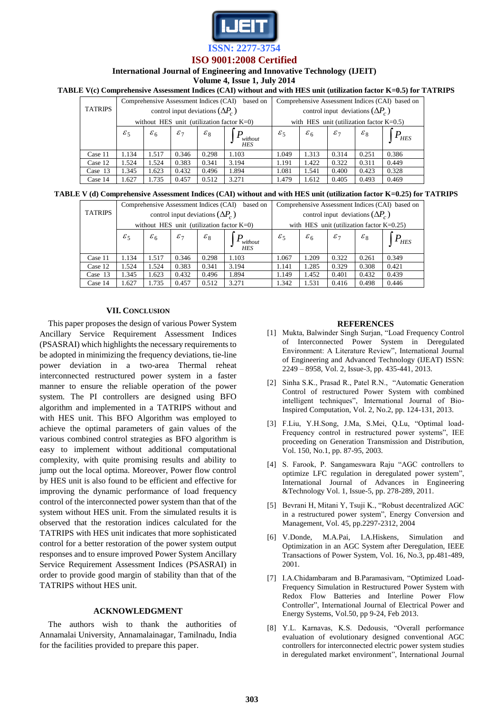

## **International Journal of Engineering and Innovative Technology (IJEIT)**

**Volume 4, Issue 1, July 2014** 

## **TABLE V(c) Comprehensive Assessment Indices (CAI) without and with HES unit (utilization factor K=0.5) for TATRIPS**

|                |                                              | Comprehensive Assessment Indices (CAI) |                                         |                 | based on      | Comprehensive Assessment Indices (CAI) based on |                                         |                 |                 |                |
|----------------|----------------------------------------------|----------------------------------------|-----------------------------------------|-----------------|---------------|-------------------------------------------------|-----------------------------------------|-----------------|-----------------|----------------|
| <b>TATRIPS</b> |                                              |                                        | control input deviations $(\Delta P_c)$ |                 |               |                                                 | control input deviations $(\Delta P_c)$ |                 |                 |                |
|                | without HES unit (utilization factor $K=0$ ) |                                        |                                         |                 |               | with HES unit (utilization factor $K=0.5$ )     |                                         |                 |                 |                |
|                | $\varepsilon_5$                              | $\varepsilon_6$                        | $\varepsilon_7$                         | $\varepsilon_8$ | $P_{without}$ | $\varepsilon_5$                                 | $\varepsilon_6$                         | $\varepsilon_7$ | $\varepsilon_8$ | P<br>$r_{HES}$ |
| Case 11        | 1.134                                        | 1.517                                  | 0.346                                   | 0.298           | 1.103         | 1.049                                           | 1.313                                   | 0.314           | 0.251           | 0.386          |
| Case 12        | 1.524                                        | 1.524                                  | 0.383                                   | 0.341           | 3.194         | 1.191                                           | 1.422                                   | 0.322           | 0.311           | 0.449          |
| Case 13        | 1.345                                        | 1.623                                  | 0.432                                   | 0.496           | 1.894         | 1.081                                           | 1.541                                   | 0.400           | 0.423           | 0.328          |
| Case 14        | 1.627                                        | 1.735                                  | 0.457                                   | 0.512           | 3.271         | 1.479                                           | 1.612                                   | 0.405           | 0.493           | 0.469          |

#### **TABLE V (d) Comprehensive Assessment Indices (CAI) without and with HES unit (utilization factor K=0.25) for TATRIPS**

| <b>TATRIPS</b> |                 | Comprehensive Assessment Indices (CAI) |              |                                         | based on                                     |                                              | Comprehensive Assessment Indices (CAI) based on |                 |                 |           |
|----------------|-----------------|----------------------------------------|--------------|-----------------------------------------|----------------------------------------------|----------------------------------------------|-------------------------------------------------|-----------------|-----------------|-----------|
|                |                 |                                        |              | control input deviations $(\Delta P_c)$ |                                              | control input deviations $(\Delta P_c)$      |                                                 |                 |                 |           |
|                |                 |                                        |              |                                         | without HES unit (utilization factor $K=0$ ) | with HES unit (utilization factor $K=0.25$ ) |                                                 |                 |                 |           |
|                | $\varepsilon_5$ | $\varepsilon_6$                        | ${\cal E}$ 7 | $\varepsilon_8$                         | without<br><b>HES</b>                        | $\varepsilon_5$                              | $\varepsilon_6$                                 | $\varepsilon_7$ | $\varepsilon_8$ | $P_{HES}$ |
| Case 11        | 1.134           | 1.517                                  | 0.346        | 0.298                                   | 1.103                                        | 1.067                                        | 1.209                                           | 0.322           | 0.261           | 0.349     |
| Case 12        | 1.524           | 1.524                                  | 0.383        | 0.341                                   | 3.194                                        | 1.141                                        | 1.285                                           | 0.329           | 0.308           | 0.421     |
| Case 13        | 1.345           | 1.623                                  | 0.432        | 0.496                                   | 1.894                                        | 1.149                                        | 1.452                                           | 0.401           | 0.432           | 0.439     |
| Case 14        | 1.627           | 1.735                                  | 0.457        | 0.512                                   | 3.271                                        | 1.342                                        | 1.531                                           | 0.416           | 0.498           | 0.446     |

## **VII. CONCLUSION**

This paper proposes the design of various Power System Ancillary Service Requirement Assessment Indices (PSASRAI) which highlights the necessary requirements to be adopted in minimizing the frequency deviations, tie-line power deviation in a two-area Thermal reheat interconnected restructured power system in a faster manner to ensure the reliable operation of the power system. The PI controllers are designed using BFO algorithm and implemented in a TATRIPS without and with HES unit. This BFO Algorithm was employed to achieve the optimal parameters of gain values of the various combined control strategies as BFO algorithm is easy to implement without additional computational complexity, with quite promising results and ability to jump out the local optima. Moreover, Power flow control by HES unit is also found to be efficient and effective for improving the dynamic performance of load frequency control of the interconnected power system than that of the system without HES unit. From the simulated results it is observed that the restoration indices calculated for the TATRIPS with HES unit indicates that more sophisticated control for a better restoration of the power system output responses and to ensure improved Power System Ancillary Service Requirement Assessment Indices (PSASRAI) in order to provide good margin of stability than that of the TATRIPS without HES unit.

## **ACKNOWLEDGMENT**

The authors wish to thank the authorities of Annamalai University, Annamalainagar, Tamilnadu, India for the facilities provided to prepare this paper.

## **REFERENCES**

- [1] Mukta, Balwinder Singh Surjan, "Load Frequency Control of Interconnected Power System in Deregulated Environment: A Literature Review", International Journal of Engineering and Advanced Technology (IJEAT) ISSN: 2249 – 8958, Vol. 2, Issue-3, pp. 435-441, 2013.
- [2] Sinha S.K., Prasad R., Patel R.N., "Automatic Generation Control of restructured Power System with combined intelligent techniques", International Journal of Bio-Inspired Computation, Vol. 2, No.2, pp. 124-131, 2013.
- [3] F.Liu, Y.H.Song, J.Ma, S.Mei, Q.Lu, "Optimal load-Frequency control in restructured power systems", IEE proceeding on Generation Transmission and Distribution, Vol. 150, No.1, pp. 87-95, 2003.
- [4] S. Farook, P. Sangameswara Raju "AGC controllers to optimize LFC regulation in deregulated power system", International Journal of Advances in Engineering &Technology Vol. 1, Issue-5, pp. 278-289, 2011.
- [5] Bevrani H, Mitani Y, Tsuji K., "Robust decentralized AGC in a restructured power system", Energy Conversion and Management, Vol. 45, pp.2297-2312, 2004
- [6] V.Donde, M.A.Pai, I.A.Hiskens, Simulation and Optimization in an AGC System after Deregulation, IEEE Transactions of Power System, Vol. 16, No.3, pp.481-489, 2001.
- [7] I.A.Chidambaram and B.Paramasivam, "Optimized Load-Frequency Simulation in Restructured Power System with Redox Flow Batteries and Interline Power Flow Controller", International Journal of Electrical Power and Energy Systems, Vol.50, pp 9-24, Feb 2013.
- [8] Y.L. Karnavas, K.S. Dedousis, "Overall performance evaluation of evolutionary designed conventional AGC controllers for interconnected electric power system studies in deregulated market environment", International Journal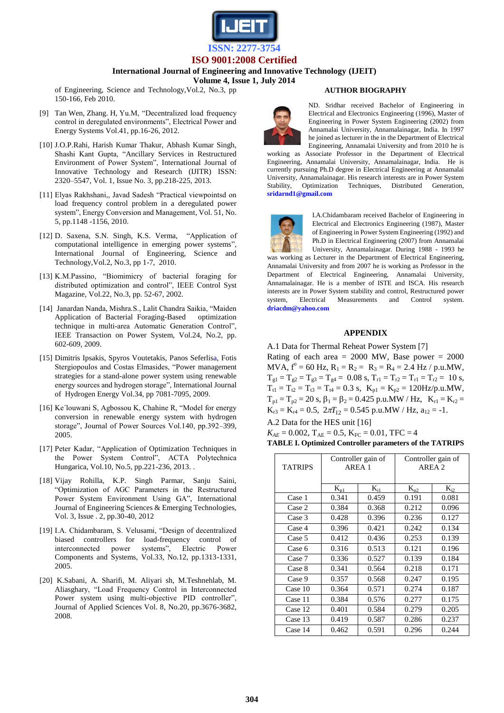

**International Journal of Engineering and Innovative Technology (IJEIT)** 

**Volume 4, Issue 1, July 2014** 

of Engineering, Science and Technology,Vol.2, No.3, pp 150-166, Feb 2010.

- [9] Tan Wen, Zhang. H, Yu.M, "Decentralized load frequency control in deregulated environments", Electrical Power and Energy Systems Vol.41, pp.16-26, 2012.
- [10] J.O.P.Rahi, Harish Kumar Thakur, Abhash Kumar Singh, Shashi Kant Gupta, "Ancillary Services in Restructured Environment of Power System", International Journal of Innovative Technology and Research (IJITR) ISSN: 2320–5547, Vol. 1, Issue No. 3, pp.218-225, 2013.
- [11] Elyas Rakhshani,, Javad Sadesh "Practical viewpointsd on load frequency control problem in a deregulated power system", Energy Conversion and Management, Vol. 51, No. 5, pp.1148 -1156, 2010.
- [12] D. Saxena, S.N. Singh, K.S. Verma, "Application of computational intelligence in emerging power systems", International Journal of Engineering, Science and Technology,Vol.2, No.3, pp 1-7, 2010.
- [13] K.M.Passino, "Biomimicry of bacterial foraging for distributed optimization and control", IEEE Control Syst Magazine, Vol.22, No.3, pp. 52-67, 2002.
- [14] Janardan Nanda, Mishra.S., Lalit Chandra Saikia, "Maiden Application of Bacterial Foraging-Based optimization technique in multi-area Automatic Generation Control", IEEE Transaction on Power System, Vol.24, No.2, pp. 602-609, 2009.
- [15] Dimitris Ipsakis, Spyros Voutetakis, Panos Seferlisa, Fotis Stergiopoulos and Costas Elmasides, "Power management strategies for a stand-alone power system using renewable energy sources and hydrogen storage", International Journal of Hydrogen Energy Vol.34, pp 7081-7095, 2009.
- [16] Ke´louwani S, Agbossou K, Chahine R, "Model for energy conversion in renewable energy system with hydrogen storage", Journal of Power Sources Vol.140, pp.392–399, 2005.
- [17] Peter Kadar, "Application of Optimization Techniques in the Power System Control", ACTA Polytechnica Hungarica, Vol.10, No.5, pp.221-236, 2013. .
- [18] Vijay Rohilla, K.P. Singh Parmar, Sanju Saini, "Optimization of AGC Parameters in the Restructured Power System Environment Using GA", International Journal of Engineering Sciences & Emerging Technologies, Vol. 3, Issue . 2, pp.30-40, 2012
- [19] I.A. Chidambaram, S. Velusami, "Design of decentralized biased controllers for load-frequency control of interconnected power systems", Electric Power Components and Systems, Vol.33, No.12, pp.1313-1331, 2005.
- [20] K.Sabani, A. Sharifi, M. Aliyari sh, M.Teshnehlab, M. Aliasghary, "Load Frequency Control in Interconnected Power system using multi-objective PID controller", Journal of Applied Sciences Vol. 8, No.20, pp.3676-3682, 2008.

## **AUTHOR BIOGRAPHY**



ND. Sridhar received Bachelor of Engineering in Electrical and Electronics Engineering (1996), Master of Engineering in Power System Engineering (2002) from Annamalai University, Annamalainagar, India. In 1997 he joined as lecturer in the in the Department of Electrical Engineering, Annamalai University and from 2010 he is

working as Associate Professor in the Department of Electrical Engineering, Annamalai University, Annamalainagar, India. He is currently pursuing Ph.D degree in Electrical Engineering at Annamalai University, Annamalainagar. His research interests are in Power System<br>Stability, Optimization Techniques, Distributed Generation, Stability, Optimization Techniques, Distributed Generation, **sridarnd1@gmail.com** 



I.A.Chidambaram received Bachelor of Engineering in Electrical and Electronics Engineering (1987), Master of Engineering in Power System Engineering (1992) and Ph.D in Electrical Engineering (2007) from Annamalai University, Annamalainagar. During 1988 - 1993 he

was working as Lecturer in the Department of Electrical Engineering, Annamalai University and from 2007 he is working as Professor in the Department of Electrical Engineering, Annamalai University, Annamalainagar. He is a member of ISTE and ISCA. His research interests are in Power System stability and control, Restructured power system, Electrical Measurements and Control system. **[driacdm@yahoo.com](mailto:driacdm@yahoo.com)**

## **APPENDIX**

A.1 Data for Thermal Reheat Power System [7]

Rating of each area  $= 2000$  MW, Base power  $= 2000$ MVA,  $f^{\circ} = 60$  Hz,  $R_1 = R_2 = R_3 = R_4 = 2.4$  Hz / p.u.MW,  $T_{g1} = T_{g2} = T_{g3} = T_{g4} = 0.08$  s,  $T_{r1} = T_{r2} = T_{r1} = T_{r2} = 10$  s,  $T_{t1} = T_{t2} = T_{t3} = T_{t4} = 0.3$  s,  $K_{p1} = K_{p2} = 120$ Hz/p.u.MW,  $T_{p1} = T_{p2} = 20$  s,  $\beta_1 = \beta_2 = 0.425$  p.u.MW / Hz,  $K_{r1} = K_{r2}$  $K_{r3} = K_{r4} = 0.5$ ,  $2\pi T_{12} = 0.545$  p.u.MW / Hz,  $a_{12} = -1$ .

A.2 Data for the HES unit [16]

 $K_{AE} = 0.002$ ,  $T_{AE} = 0.5$ ,  $K_{FC} = 0.01$ , TFC = 4 **TABLE I. Optimized Controller parameters of the TATRIPS** 

|                |          | Controller gain of |          | Controller gain of |
|----------------|----------|--------------------|----------|--------------------|
| <b>TATRIPS</b> | AREA 1   |                    |          | AREA 2             |
|                |          |                    |          |                    |
|                | $K_{p1}$ | $K_{i1}$           | $K_{p2}$ | $K_{i2}$           |
| Case 1         | 0.341    | 0.459              | 0.191    | 0.081              |
| Case 2         | 0.384    | 0.368              | 0.212    | 0.096              |
| Case 3         | 0.428    | 0.396              | 0.236    | 0.127              |
| Case 4         | 0.396    | 0.421              | 0.242    | 0.134              |
| Case 5         | 0.412    | 0.436              | 0.253    | 0.139              |
| Case 6         | 0.316    | 0.513              | 0.121    | 0.196              |
| Case 7         | 0.336    | 0.527              | 0.139    | 0.184              |
| Case 8         | 0.341    | 0.564              | 0.218    | 0.171              |
| Case 9         | 0.357    | 0.568              | 0.247    | 0.195              |
| Case 10        | 0.364    | 0.571              | 0.274    | 0.187              |
| Case 11        | 0.384    | 0.576              | 0.277    | 0.175              |
| Case 12        | 0.401    | 0.584              | 0.279    | 0.205              |
| Case 13        | 0.419    | 0.587              | 0.286    | 0.237              |
| Case 14        | 0.462    | 0.591              | 0.296    | 0.244              |